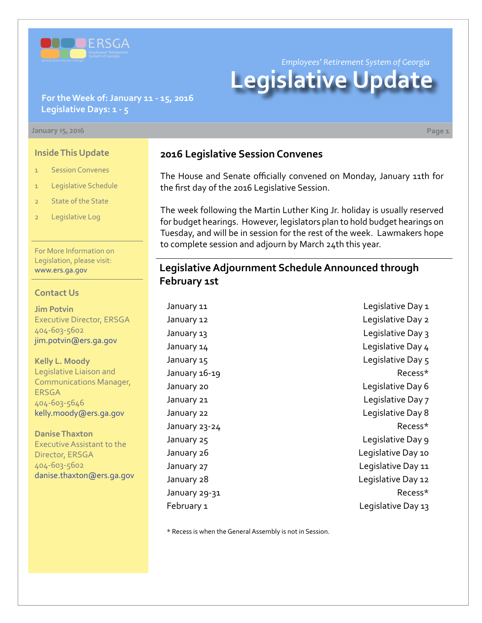

*Employees' Retirement System of Georgia*

# **Legislative Update**

#### **For the Week of: January 11 - 15, 2016 Legislative Days: 1 - 5**

#### **January 15, 2016 Page 1**

#### **Inside This Update**

- 1 Session Convenes
- 1 Legislative Schedule
- 2 State of the State
- 2 Legislative Log

For More Information on Legislation, please visit: [www.ers.ga.gov](http://www.ers.ga.gov/default.aspx)

#### **Contact Us**

**Jim Potvin** Executive Director, ERSGA 404-603-5602 jim.potvin@ers.ga.gov

**Kelly L. Moody** Legislative Liaison and Communications Manager, ERSGA 404-603-5646 kelly.moody@ers.ga.gov

**Danise Thaxton** Executive Assistant to the Director, ERSGA 404-603-5602 danise.thaxton@ers.ga.gov

## **2016 Legislative Session Convenes**

The House and Senate officially convened on Monday, January 11th for the first day of the 2016 Legislative Session.

The week following the Martin Luther King Jr. holiday is usually reserved for budget hearings. However, legislators plan to hold budget hearings on Tuesday, and will be in session for the rest of the week. Lawmakers hope to complete session and adjourn by March 24th this year.

## **Legislative Adjournment Schedule Announced through February 1st**

January 11 Legislative Day 1

January 12 **Legislative Day 2** January 13 **January 13** Legislative Day 3 January 14 Legislative Day 4 January 15 Legislative Day 5 January 16-19 **Recess**\* January 20 Legislative Day 6 January 21 **Legislative Day 7** January 22 Legislative Day 8 January 23-24 Recess\* January 25 Legislative Day 9 January 26 Legislative Day 10 January 27 Legislative Day 11 January 28 **Legislative Day 12** January 29-31 **Recess**\* February 1 and 13 and 13 and 13 and 13 and 13 and 13 and 13 and 13 and 13 and 13 and 13 and 13 and 13 and 13 and 13 and 13 and 13 and 13 and 13 and 13 and 13 and 13 and 13 and 13 and 13 and 13 and 13 and 13 and 13 and 13 a

\* Recess is when the General Assembly is not in Session.